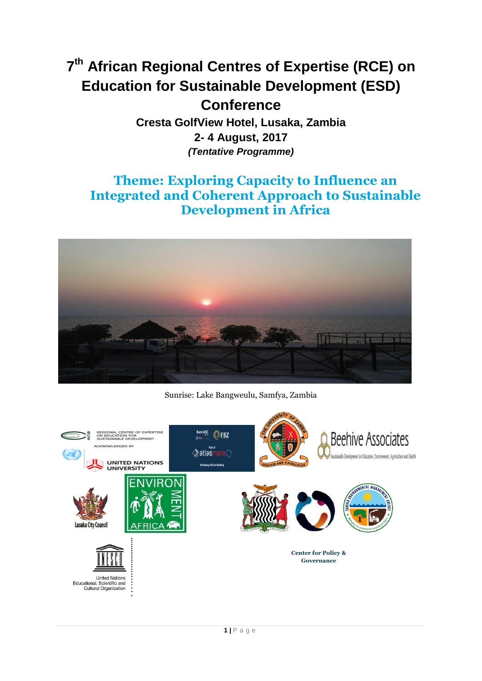# **7 th African Regional Centres of Expertise (RCE) on Education for Sustainable Development (ESD) Conference Cresta GolfView Hotel, Lusaka, Zambia**

**2- 4 August, 2017** *(Tentative Programme)*

## **Theme: Exploring Capacity to Influence an Integrated and Coherent Approach to Sustainable Development in Africa**



Sunrise: Lake Bangweulu, Samfya, Zambia

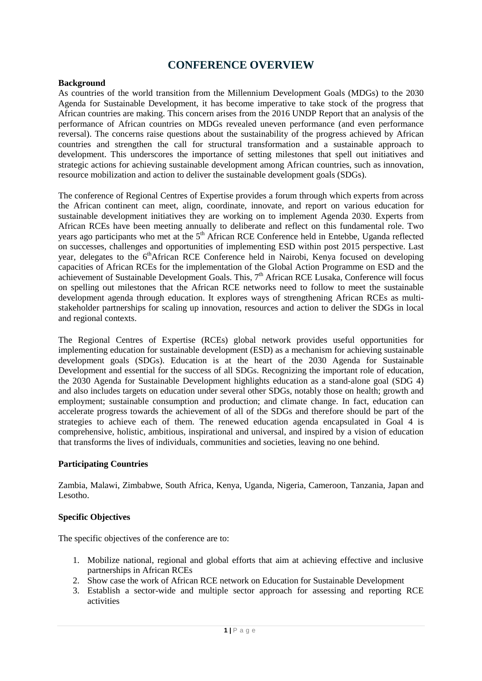### **CONFERENCE OVERVIEW**

#### **Background**

As countries of the world transition from the Millennium Development Goals (MDGs) to the 2030 Agenda for Sustainable Development, it has become imperative to take stock of the progress that African countries are making. This concern arises from the 2016 UNDP Report that an analysis of the performance of African countries on MDGs revealed uneven performance (and even performance reversal). The concerns raise questions about the sustainability of the progress achieved by African countries and strengthen the call for structural transformation and a sustainable approach to development. This underscores the importance of setting milestones that spell out initiatives and strategic actions for achieving sustainable development among African countries, such as innovation, resource mobilization and action to deliver the sustainable development goals (SDGs).

The conference of Regional Centres of Expertise provides a forum through which experts from across the African continent can meet, align, coordinate, innovate, and report on various education for sustainable development initiatives they are working on to implement Agenda 2030. Experts from African RCEs have been meeting annually to deliberate and reflect on this fundamental role. Two years ago participants who met at the 5<sup>th</sup> African RCE Conference held in Entebbe, Uganda reflected on successes, challenges and opportunities of implementing ESD within post 2015 perspective. Last year, delegates to the 6<sup>th</sup>African RCE Conference held in Nairobi, Kenya focused on developing capacities of African RCEs for the implementation of the Global Action Programme on ESD and the achievement of Sustainable Development Goals. This, 7<sup>th</sup> African RCE Lusaka, Conference will focus on spelling out milestones that the African RCE networks need to follow to meet the sustainable development agenda through education. It explores ways of strengthening African RCEs as multistakeholder partnerships for scaling up innovation, resources and action to deliver the SDGs in local and regional contexts.

The Regional Centres of Expertise (RCEs) global network provides useful opportunities for implementing education for sustainable development (ESD) as a mechanism for achieving sustainable development goals (SDGs). Education is at the heart of the 2030 Agenda for Sustainable Development and essential for the success of all SDGs. Recognizing the important role of education, the 2030 Agenda for Sustainable Development highlights education as a stand-alone goal (SDG 4) and also includes targets on education under several other SDGs, notably those on health; growth and employment; sustainable consumption and production; and climate change. In fact, education can accelerate progress towards the achievement of all of the SDGs and therefore should be part of the strategies to achieve each of them. The renewed education agenda encapsulated in Goal 4 is comprehensive, holistic, ambitious, inspirational and universal, and inspired by a vision of education that transforms the lives of individuals, communities and societies, leaving no one behind.

#### **Participating Countries**

Zambia, Malawi, Zimbabwe, South Africa, Kenya, Uganda, Nigeria, Cameroon, Tanzania, Japan and Lesotho.

#### **Specific Objectives**

The specific objectives of the conference are to:

- 1. Mobilize national, regional and global efforts that aim at achieving effective and inclusive partnerships in African RCEs
- 2. Show case the work of African RCE network on Education for Sustainable Development
- 3. Establish a sector-wide and multiple sector approach for assessing and reporting RCE activities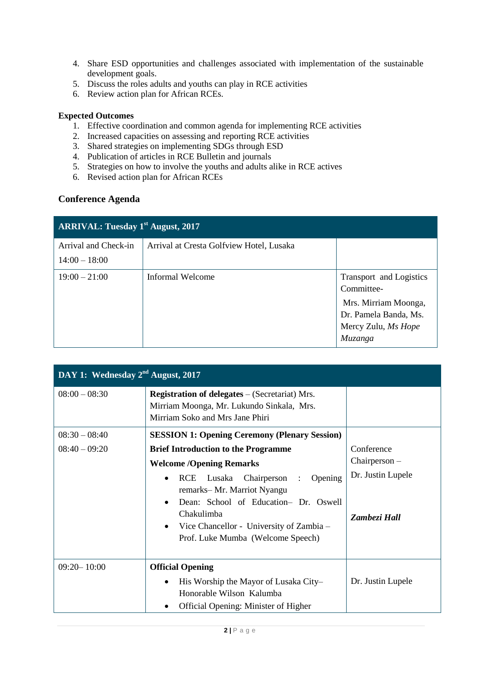- 4. Share ESD opportunities and challenges associated with implementation of the sustainable development goals.
- 5. Discuss the roles adults and youths can play in RCE activities
- 6. Review action plan for African RCEs.

#### **Expected Outcomes**

- 1. Effective coordination and common agenda for implementing RCE activities
- 2. Increased capacities on assessing and reporting RCE activities
- 3. Shared strategies on implementing SDGs through ESD
- 4. Publication of articles in RCE Bulletin and journals
- 5. Strategies on how to involve the youths and adults alike in RCE actives
- 6. Revised action plan for African RCEs

#### **Conference Agenda**

| <b>ARRIVAL: Tuesday 1st August, 2017</b> |                                          |                                                                                                                          |  |
|------------------------------------------|------------------------------------------|--------------------------------------------------------------------------------------------------------------------------|--|
| Arrival and Check-in<br>$14:00 - 18:00$  | Arrival at Cresta Golfview Hotel, Lusaka |                                                                                                                          |  |
| $19:00 - 21:00$                          | Informal Welcome                         | Transport and Logistics<br>Committee-<br>Mrs. Mirriam Moonga,<br>Dr. Pamela Banda, Ms.<br>Mercy Zulu, Ms Hope<br>Muzanga |  |

| DAY 1: Wednesday 2 <sup>nd</sup> August, 2017 |                                                                                                                                                                                                                                                                                                                                         |                                                                    |  |
|-----------------------------------------------|-----------------------------------------------------------------------------------------------------------------------------------------------------------------------------------------------------------------------------------------------------------------------------------------------------------------------------------------|--------------------------------------------------------------------|--|
| $08:00 - 08:30$                               | <b>Registration of delegates</b> $-$ (Secretariat) Mrs.<br>Mirriam Moonga, Mr. Lukundo Sinkala, Mrs.<br>Mirriam Soko and Mrs Jane Phiri                                                                                                                                                                                                 |                                                                    |  |
| $08:30 - 08:40$                               | <b>SESSION 1: Opening Ceremony (Plenary Session)</b>                                                                                                                                                                                                                                                                                    |                                                                    |  |
| $08:40 - 09:20$                               | <b>Brief Introduction to the Programme</b><br><b>Welcome /Opening Remarks</b><br>Lusaka Chairperson<br><b>RCE</b><br>Opening<br>$\cdot$<br>$\bullet$<br>remarks-Mr. Marriot Nyangu<br>Dean: School of Education- Dr. Oswell<br>Chakulimba<br>Vice Chancellor - University of Zambia –<br>$\bullet$<br>Prof. Luke Mumba (Welcome Speech) | Conference<br>$Chairperson -$<br>Dr. Justin Lupele<br>Zambezi Hall |  |
| $09:20 - 10:00$                               | <b>Official Opening</b><br>His Worship the Mayor of Lusaka City-<br>$\bullet$<br>Honorable Wilson Kalumba<br>Official Opening: Minister of Higher                                                                                                                                                                                       | Dr. Justin Lupele                                                  |  |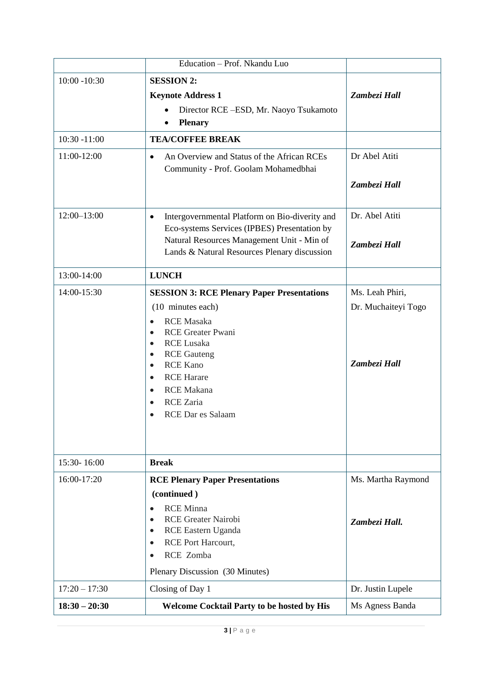|                 | Education - Prof. Nkandu Luo                                                                                                                                                                                                                                                                                                                                        |                                                        |
|-----------------|---------------------------------------------------------------------------------------------------------------------------------------------------------------------------------------------------------------------------------------------------------------------------------------------------------------------------------------------------------------------|--------------------------------------------------------|
| $10:00 - 10:30$ | <b>SESSION 2:</b><br><b>Keynote Address 1</b><br>Director RCE-ESD, Mr. Naoyo Tsukamoto<br><b>Plenary</b>                                                                                                                                                                                                                                                            | Zambezi Hall                                           |
| $10:30 - 11:00$ | <b>TEA/COFFEE BREAK</b>                                                                                                                                                                                                                                                                                                                                             |                                                        |
| 11:00-12:00     | An Overview and Status of the African RCEs<br>$\bullet$<br>Community - Prof. Goolam Mohamedbhai                                                                                                                                                                                                                                                                     | Dr Abel Atiti<br>Zambezi Hall                          |
| $12:00 - 13:00$ | Intergovernmental Platform on Bio-diverity and<br>$\bullet$<br>Eco-systems Services (IPBES) Presentation by<br>Natural Resources Management Unit - Min of<br>Lands & Natural Resources Plenary discussion                                                                                                                                                           | Dr. Abel Atiti<br>Zambezi Hall                         |
| 13:00-14:00     | <b>LUNCH</b>                                                                                                                                                                                                                                                                                                                                                        |                                                        |
| 14:00-15:30     | <b>SESSION 3: RCE Plenary Paper Presentations</b><br>(10 minutes each)<br><b>RCE</b> Masaka<br>$\bullet$<br><b>RCE Greater Pwani</b><br>$\bullet$<br><b>RCE Lusaka</b><br>$\bullet$<br><b>RCE</b> Gauteng<br>$\bullet$<br><b>RCE Kano</b><br>$\bullet$<br><b>RCE Harare</b><br>$\bullet$<br><b>RCE</b> Makana<br>$\bullet$<br><b>RCE</b> Zaria<br>RCE Dar es Salaam | Ms. Leah Phiri,<br>Dr. Muchaiteyi Togo<br>Zambezi Hall |
| 15:30-16:00     | <b>Break</b>                                                                                                                                                                                                                                                                                                                                                        |                                                        |
| 16:00-17:20     | <b>RCE Plenary Paper Presentations</b><br>(continued)<br><b>RCE Minna</b><br><b>RCE Greater Nairobi</b><br>$\bullet$<br>RCE Eastern Uganda<br>$\bullet$<br><b>RCE Port Harcourt,</b><br>$\bullet$<br>RCE Zomba<br>$\bullet$<br>Plenary Discussion (30 Minutes)                                                                                                      | Ms. Martha Raymond<br>Zambezi Hall.                    |
| $17:20 - 17:30$ | Closing of Day 1                                                                                                                                                                                                                                                                                                                                                    | Dr. Justin Lupele                                      |
| $18:30 - 20:30$ | <b>Welcome Cocktail Party to be hosted by His</b>                                                                                                                                                                                                                                                                                                                   | Ms Agness Banda                                        |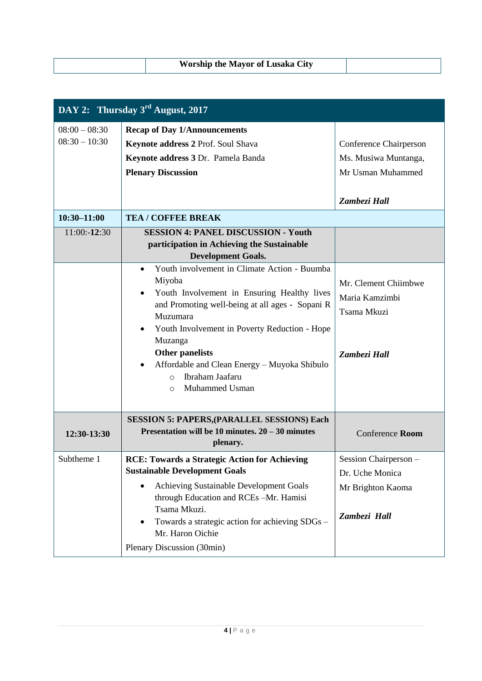| <b>Worship the Mayor of Lusaka City</b> |  |
|-----------------------------------------|--|

| DAY 2: Thursday $3rd$ August, 2017 |                                                                                                                                                                                                                                                                                                                                                                                                        |                                                                                            |
|------------------------------------|--------------------------------------------------------------------------------------------------------------------------------------------------------------------------------------------------------------------------------------------------------------------------------------------------------------------------------------------------------------------------------------------------------|--------------------------------------------------------------------------------------------|
| $08:00 - 08:30$<br>$08:30 - 10:30$ | <b>Recap of Day 1/Announcements</b><br>Keynote address 2 Prof. Soul Shava<br>Keynote address 3 Dr. Pamela Banda<br><b>Plenary Discussion</b>                                                                                                                                                                                                                                                           | <b>Conference Chairperson</b><br>Ms. Musiwa Muntanga,<br>Mr Usman Muhammed<br>Zambezi Hall |
| $10:30 - 11:00$                    | <b>TEA / COFFEE BREAK</b>                                                                                                                                                                                                                                                                                                                                                                              |                                                                                            |
| 11:00:-12:30                       | <b>SESSION 4: PANEL DISCUSSION - Youth</b><br>participation in Achieving the Sustainable<br><b>Development Goals.</b>                                                                                                                                                                                                                                                                                  |                                                                                            |
|                                    | Youth involvement in Climate Action - Buumba<br>$\bullet$<br>Miyoba<br>Youth Involvement in Ensuring Healthy lives<br>$\bullet$<br>and Promoting well-being at all ages - Sopani R<br>Muzumara<br>Youth Involvement in Poverty Reduction - Hope<br>$\bullet$<br>Muzanga<br>Other panelists<br>Affordable and Clean Energy - Muyoka Shibulo<br>Ibraham Jaafaru<br>$\Omega$<br>Muhammed Usman<br>$\circ$ | Mr. Clement Chiimbwe<br>Maria Kamzimbi<br>Tsama Mkuzi<br>Zambezi Hall                      |
| 12:30-13:30                        | <b>SESSION 5: PAPERS, (PARALLEL SESSIONS) Each</b><br>Presentation will be 10 minutes. $20 - 30$ minutes<br>plenary.                                                                                                                                                                                                                                                                                   | Conference Room                                                                            |
| Subtheme 1                         | <b>RCE: Towards a Strategic Action for Achieving</b><br><b>Sustainable Development Goals</b><br>Achieving Sustainable Development Goals<br>through Education and RCEs-Mr. Hamisi<br>Tsama Mkuzi.<br>Towards a strategic action for achieving SDGs -<br>$\bullet$<br>Mr. Haron Oichie<br>Plenary Discussion (30min)                                                                                     | Session Chairperson -<br>Dr. Uche Monica<br>Mr Brighton Kaoma<br>Zambezi Hall              |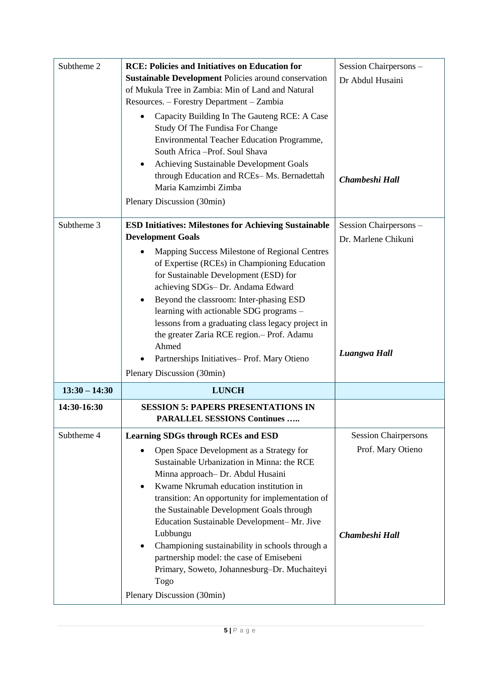| Subtheme 2      | <b>RCE: Policies and Initiatives on Education for</b><br><b>Sustainable Development Policies around conservation</b><br>of Mukula Tree in Zambia: Min of Land and Natural<br>Resources. - Forestry Department - Zambia<br>Capacity Building In The Gauteng RCE: A Case<br>Study Of The Fundisa For Change<br>Environmental Teacher Education Programme,<br>South Africa -Prof. Soul Shava<br>Achieving Sustainable Development Goals<br>through Education and RCEs-Ms. Bernadettah<br>Maria Kamzimbi Zimba<br>Plenary Discussion (30min)                                | Session Chairpersons -<br>Dr Abdul Husaini<br>Chambeshi Hall       |
|-----------------|-------------------------------------------------------------------------------------------------------------------------------------------------------------------------------------------------------------------------------------------------------------------------------------------------------------------------------------------------------------------------------------------------------------------------------------------------------------------------------------------------------------------------------------------------------------------------|--------------------------------------------------------------------|
| Subtheme 3      | <b>ESD Initiatives: Milestones for Achieving Sustainable</b><br><b>Development Goals</b><br>Mapping Success Milestone of Regional Centres<br>of Expertise (RCEs) in Championing Education<br>for Sustainable Development (ESD) for<br>achieving SDGs-Dr. Andama Edward<br>Beyond the classroom: Inter-phasing ESD<br>learning with actionable SDG programs -<br>lessons from a graduating class legacy project in<br>the greater Zaria RCE region.- Prof. Adamu<br>Ahmed<br>Partnerships Initiatives-Prof. Mary Otieno<br>Plenary Discussion (30min)                    | Session Chairpersons -<br>Dr. Marlene Chikuni<br>Luangwa Hall      |
| $13:30 - 14:30$ | <b>LUNCH</b>                                                                                                                                                                                                                                                                                                                                                                                                                                                                                                                                                            |                                                                    |
| 14:30-16:30     | <b>SESSION 5: PAPERS PRESENTATIONS IN</b><br><b>PARALLEL SESSIONS Continues</b>                                                                                                                                                                                                                                                                                                                                                                                                                                                                                         |                                                                    |
| Subtheme 4      | <b>Learning SDGs through RCEs and ESD</b><br>Open Space Development as a Strategy for<br>Sustainable Urbanization in Minna: the RCE<br>Minna approach- Dr. Abdul Husaini<br>Kwame Nkrumah education institution in<br>transition: An opportunity for implementation of<br>the Sustainable Development Goals through<br>Education Sustainable Development-Mr. Jive<br>Lubbungu<br>Championing sustainability in schools through a<br>٠<br>partnership model: the case of Emisebeni<br>Primary, Soweto, Johannesburg-Dr. Muchaiteyi<br>Togo<br>Plenary Discussion (30min) | <b>Session Chairpersons</b><br>Prof. Mary Otieno<br>Chambeshi Hall |